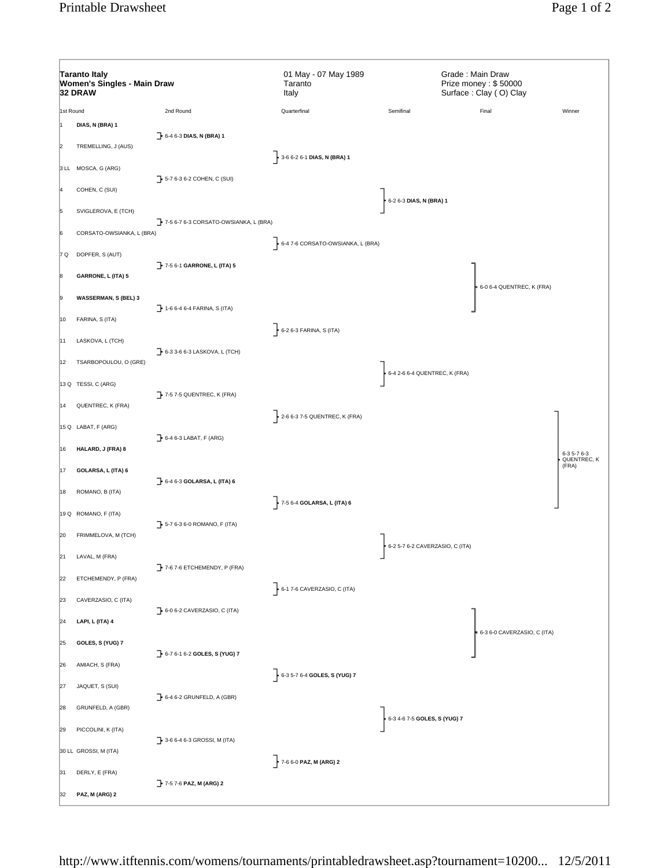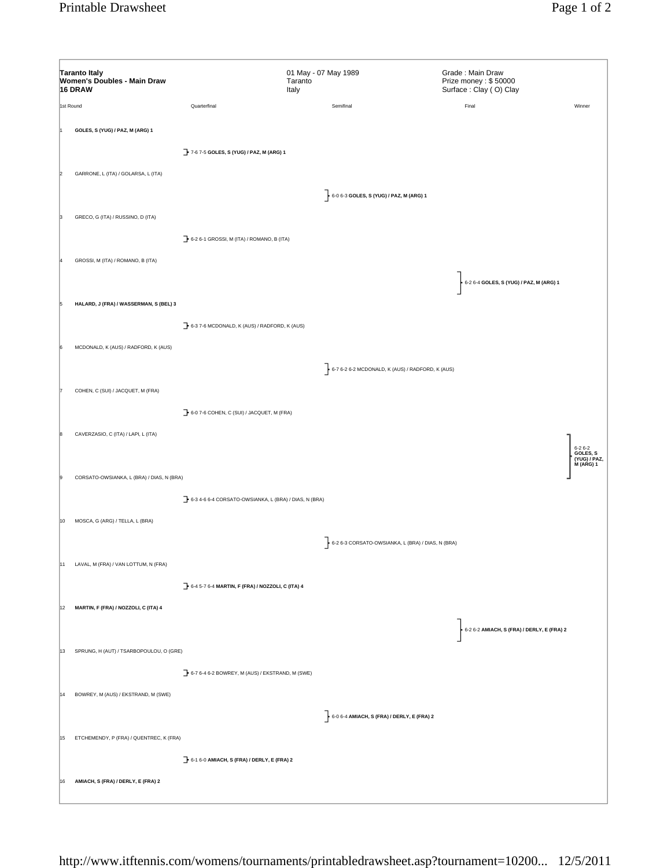|           | <b>Taranto Italy</b><br>Women's Doubles - Main Draw<br>16 DRAW |                                                               | 01 May - 07 May 1989<br>Taranto<br>Italy |                                                               | Grade: Main Draw<br>Prize money: \$50000<br>Surface: Clay (O) Clay |                                                                   |
|-----------|----------------------------------------------------------------|---------------------------------------------------------------|------------------------------------------|---------------------------------------------------------------|--------------------------------------------------------------------|-------------------------------------------------------------------|
| 1st Round |                                                                | Quarterfinal                                                  |                                          | Semifinal                                                     | Final                                                              | Winner                                                            |
|           | GOLES, S (YUG) / PAZ, M (ARG) 1                                |                                                               |                                          |                                                               |                                                                    |                                                                   |
|           |                                                                | 7-67-5 GOLES, S (YUG) / PAZ, M (ARG) 1                        |                                          |                                                               |                                                                    |                                                                   |
|           |                                                                |                                                               |                                          |                                                               |                                                                    |                                                                   |
|           | GARRONE, L (ITA) / GOLARSA, L (ITA)                            |                                                               |                                          |                                                               |                                                                    |                                                                   |
|           |                                                                |                                                               |                                          | $\frac{1}{2}$ 6-0 6-3 GOLES, S (YUG) / PAZ, M (ARG) 1         |                                                                    |                                                                   |
|           | GRECO, G (ITA) / RUSSINO, D (ITA)                              |                                                               |                                          |                                                               |                                                                    |                                                                   |
|           |                                                                | $\rightarrow$ 6-2 6-1 GROSSI, M (ITA) / ROMANO, B (ITA)       |                                          |                                                               |                                                                    |                                                                   |
|           | GROSSI, M (ITA) / ROMANO, B (ITA)                              |                                                               |                                          |                                                               |                                                                    |                                                                   |
|           |                                                                |                                                               |                                          |                                                               | 6-2 6-4 GOLES, S (YUG) / PAZ, M (ARG) 1                            |                                                                   |
|           | HALARD, J (FRA) / WASSERMAN, S (BEL) 3                         |                                                               |                                          |                                                               |                                                                    |                                                                   |
|           |                                                                |                                                               |                                          |                                                               |                                                                    |                                                                   |
|           |                                                                | 6-3 7-6 MCDONALD, K (AUS) / RADFORD, K (AUS)                  |                                          |                                                               |                                                                    |                                                                   |
|           | MCDONALD, K (AUS) / RADFORD, K (AUS)                           |                                                               |                                          |                                                               |                                                                    |                                                                   |
|           |                                                                |                                                               |                                          | $\leftarrow$ 6-7 6-2 6-2 MCDONALD, K (AUS) / RADFORD, K (AUS) |                                                                    |                                                                   |
|           | COHEN, C (SUI) / JACQUET, M (FRA)                              |                                                               |                                          |                                                               |                                                                    |                                                                   |
|           |                                                                | 6-0 7-6 COHEN, C (SUI) / JACQUET, M (FRA)                     |                                          |                                                               |                                                                    |                                                                   |
|           | CAVERZASIO, C (ITA) / LAPI, L (ITA)                            |                                                               |                                          |                                                               |                                                                    |                                                                   |
|           |                                                                |                                                               |                                          |                                                               |                                                                    | $6 - 26 - 2$<br>GOLES, S<br>GOLES, S<br>(YUG) / PAZ,<br>M (ARG) 1 |
|           | CORSATO-OWSIANKA, L (BRA) / DIAS, N (BRA)                      |                                                               |                                          |                                                               |                                                                    |                                                                   |
|           |                                                                |                                                               |                                          |                                                               |                                                                    |                                                                   |
|           |                                                                | 6-3 4-6 6-4 CORSATO-OWSIANKA, L (BRA) / DIAS, N (BRA)         |                                          |                                                               |                                                                    |                                                                   |
| 10        | MOSCA, G (ARG) / TELLA, L (BRA)                                |                                                               |                                          |                                                               |                                                                    |                                                                   |
|           |                                                                |                                                               |                                          | 6-2 6-3 CORSATO-OWSIANKA, L (BRA) / DIAS, N (BRA)             |                                                                    |                                                                   |
|           | 11 LAVAL, M (FRA) / VAN LOTTUM, N (FRA)                        |                                                               |                                          |                                                               |                                                                    |                                                                   |
|           |                                                                | 6-4 5-7 6-4 MARTIN, F (FRA) / NOZZOLI, C (ITA) 4              |                                          |                                                               |                                                                    |                                                                   |
| 12        | MARTIN, F (FRA) / NOZZOLI, C (ITA) 4                           |                                                               |                                          |                                                               |                                                                    |                                                                   |
|           |                                                                |                                                               |                                          |                                                               | $\cdot$ 6-2 6-2 AMIACH, S (FRA) / DERLY, E (FRA) 2                 |                                                                   |
| 13        | SPRUNG, H (AUT) / TSARBOPOULOU, O (GRE)                        |                                                               |                                          |                                                               |                                                                    |                                                                   |
|           |                                                                |                                                               |                                          |                                                               |                                                                    |                                                                   |
|           |                                                                | $\rightarrow$ 6-7 6-4 6-2 BOWREY, M (AUS) / EKSTRAND, M (SWE) |                                          |                                                               |                                                                    |                                                                   |
|           | 14 BOWREY, M (AUS) / EKSTRAND, M (SWE)                         |                                                               |                                          |                                                               |                                                                    |                                                                   |
|           |                                                                |                                                               |                                          | $\rightarrow$ 6-0 6-4 AMIACH, S (FRA) / DERLY, E (FRA) 2      |                                                                    |                                                                   |
|           | 15 ETCHEMENDY, P (FRA) / QUENTREC, K (FRA)                     |                                                               |                                          |                                                               |                                                                    |                                                                   |
|           |                                                                | 6-1 6-0 AMIACH, S (FRA) / DERLY, E (FRA) 2                    |                                          |                                                               |                                                                    |                                                                   |
| 16        | AMIACH, S (FRA) / DERLY, E (FRA) 2                             |                                                               |                                          |                                                               |                                                                    |                                                                   |
|           |                                                                |                                                               |                                          |                                                               |                                                                    |                                                                   |